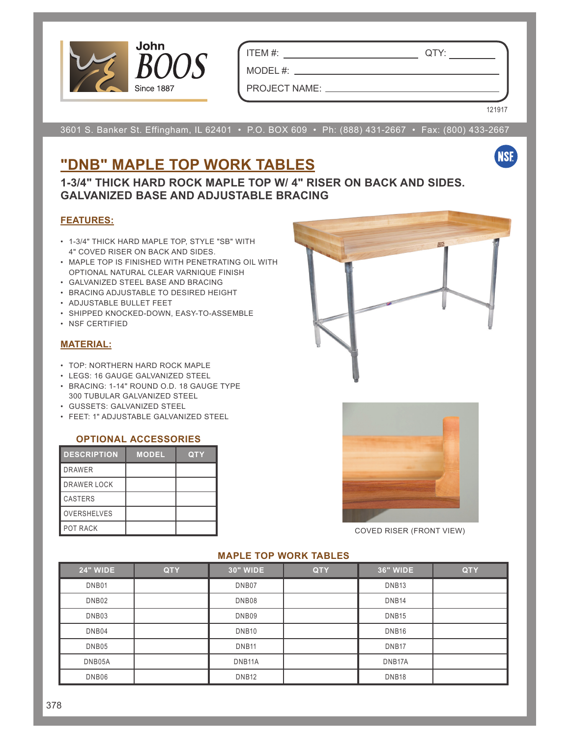

ITEM #: QTY:

MODEL #: \_ PROJECT NAME:

3601 S. Banker St. Effingham, IL 62401 • P.O. BOX 609 • Ph: (888) 431-2667 • Fax: (800) 433-2667

## **"DNB" MAPLE TOP WORK TABLES**

**1-3/4" THICK HARD ROCK MAPLE TOP W/ 4" RISER ON BACK AND SIDES. GALVANIZED BASE AND ADJUSTABLE BRACING**

### **FEATURES:**

- 1-3/4" THICK HARD MAPLE TOP, STYLE "SB" WITH 4" COVED RISER ON BACK AND SIDES.
- MAPLE TOP IS FINISHED WITH PENETRATING OIL WITH OPTIONAL NATURAL CLEAR VARNIQUE FINISH
- GALVANIZED STEEL BASE AND BRACING
- BRACING ADJUSTABLE TO DESIRED HEIGHT
- ADJUSTABLE BULLET FEET
- SHIPPED KNOCKED-DOWN, EASY-TO-ASSEMBLE
- NSF CERTIFIED

## **MATERIAL:**

- TOP: NORTHERN HARD ROCK MAPLE
- LEGS: 16 GAUGE GALVANIZED STEEL
- BRACING: 1-14" ROUND O.D. 18 GAUGE TYPE 300 TUBULAR GALVANIZED STEEL
- GUSSETS: GALVANIZED STEEL
- FEET: 1" ADJUSTABLE GALVANIZED STEEL

#### **OPTIONAL ACCESSORIES**

| <b>DESCRIPTION</b> | <b>MODEL</b> | <b>QTY</b> |
|--------------------|--------------|------------|
| <b>DRAWER</b>      |              |            |
| <b>DRAWER LOCK</b> |              |            |
| CASTERS            |              |            |
| <b>OVERSHELVES</b> |              |            |
| <b>POT RACK</b>    |              |            |



121917

**NSF** 



COVED RISER (FRONT VIEW)

## **24" WIDE QTY 30" WIDE QTY 36" WIDE QTY** DNB01 | DNB07 | DNB13 DNB02 DNB08 DNB14 DNB03 DNB09 DNB15 DNB04 DNB10 DNB16 DNB05 | DNB11 | DNB17 | DNB17 DNB05A DNB11A DNB17A DNB06 DNB12 DNB18

#### **MAPLE TOP WORK TABLES**